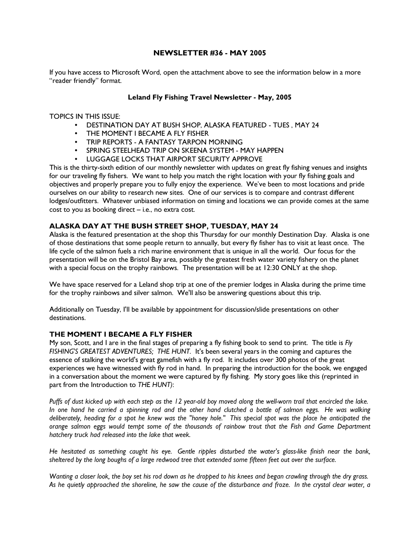## NEWSLETTER #36 - MAY 2005

If you have access to Microsoft Word, open the attachment above to see the information below in a more "reader friendly" format.

## Leland Fly Fishing Travel Newsletter - May, 2005

TOPICS IN THIS ISSUE:

- DESTINATION DAY AT BUSH SHOP, ALASKA FEATURED TUES , MAY 24
- THE MOMENT I BECAME A FLY FISHER
- TRIP REPORTS A FANTASY TARPON MORNING
- SPRING STEELHEAD TRIP ON SKEENA SYSTEM MAY HAPPEN
- LUGGAGE LOCKS THAT AIRPORT SECURITY APPROVE

This is the thirty-sixth edition of our monthly newsletter with updates on great fly fishing venues and insights for our traveling fly fishers. We want to help you match the right location with your fly fishing goals and objectives and properly prepare you to fully enjoy the experience. We've been to most locations and pride ourselves on our ability to research new sites. One of our services is to compare and contrast different lodges/outfitters. Whatever unbiased information on timing and locations we can provide comes at the same cost to you as booking direct – i.e., no extra cost.

# ALASKA DAY AT THE BUSH STREET SHOP, TUESDAY, MAY 24

Alaska is the featured presentation at the shop this Thursday for our monthly Destination Day. Alaska is one of those destinations that some people return to annually, but every fly fisher has to visit at least once. The life cycle of the salmon fuels a rich marine environment that is unique in all the world. Our focus for the presentation will be on the Bristol Bay area, possibly the greatest fresh water variety fishery on the planet with a special focus on the trophy rainbows. The presentation will be at 12:30 ONLY at the shop.

We have space reserved for a Leland shop trip at one of the premier lodges in Alaska during the prime time for the trophy rainbows and silver salmon. We'll also be answering questions about this trip.

Additionally on Tuesday, I'll be available by appointment for discussion/slide presentations on other destinations.

#### THE MOMENT I BECAME A FLY FISHER

My son, Scott, and I are in the final stages of preparing a fly fishing book to send to print. The title is Fly FISHING'S GREATEST ADVENTURES; THE HUNT. It's been several years in the coming and captures the essence of stalking the world's great gamefish with a fly rod. It includes over 300 photos of the great experiences we have witnessed with fly rod in hand. In preparing the introduction for the book, we engaged in a conversation about the moment we were captured by fly fishing. My story goes like this (reprinted in part from the Introduction to THE HUNT):

Puffs of dust kicked up with each step as the 12 year-old boy moved along the well-worn trail that encircled the lake. In one hand he carried a spinning rod and the other hand clutched a bottle of salmon eggs. He was walking deliberately, heading for a spot he knew was the "honey hole." This special spot was the place he anticipated the orange salmon eggs would tempt some of the thousands of rainbow trout that the Fish and Game Department hatchery truck had released into the lake that week.

He hesitated as something caught his eye. Gentle ripples disturbed the water's glass-like finish near the bank, sheltered by the long boughs of a large redwood tree that extended some fifteen feet out over the surface.

Wanting a closer look, the boy set his rod down as he dropped to his knees and began crawling through the dry grass. As he quietly approached the shoreline, he saw the cause of the disturbance and froze. In the crystal clear water, a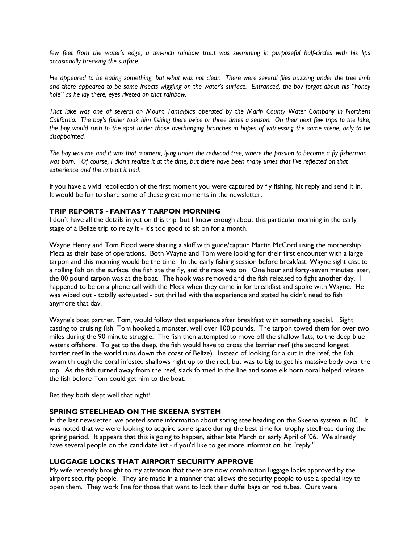few feet from the water's edge, a ten-inch rainbow trout was swimming in purposeful half-circles with his lips occasionally breaking the surface.

He appeared to be eating something, but what was not clear. There were several flies buzzing under the tree limb and there appeared to be some insects wiggling on the water's surface. Entranced, the boy forgot about his "honey hole" as he lay there, eyes riveted on that rainbow.

That lake was one of several on Mount Tamalpias operated by the Marin County Water Company in Northern California. The boy's father took him fishing there twice or three times a season. On their next few trips to the lake, the boy would rush to the spot under those overhanging branches in hopes of witnessing the same scene, only to be disappointed.

The boy was me and it was that moment, lying under the redwood tree, where the passion to become a fly fisherman was born. Of course, I didn't realize it at the time, but there have been many times that I've reflected on that experience and the impact it had.

If you have a vivid recollection of the first moment you were captured by fly fishing, hit reply and send it in. It would be fun to share some of these great moments in the newsletter.

## TRIP REPORTS - FANTASY TARPON MORNING

I don't have all the details in yet on this trip, but I know enough about this particular morning in the early stage of a Belize trip to relay it - it's too good to sit on for a month.

Wayne Henry and Tom Flood were sharing a skiff with guide/captain Martin McCord using the mothership Meca as their base of operations. Both Wayne and Tom were looking for their first encounter with a large tarpon and this morning would be the time. In the early fishing session before breakfast, Wayne sight cast to a rolling fish on the surface, the fish ate the fly, and the race was on. One hour and forty-seven minutes later, the 80 pound tarpon was at the boat. The hook was removed and the fish released to fight another day. I happened to be on a phone call with the Meca when they came in for breakfast and spoke with Wayne. He was wiped out - totally exhausted - but thrilled with the experience and stated he didn't need to fish anymore that day.

Wayne's boat partner, Tom, would follow that experience after breakfast with something special. Sight casting to cruising fish, Tom hooked a monster, well over 100 pounds. The tarpon towed them for over two miles during the 90 minute struggle. The fish then attempted to move off the shallow flats, to the deep blue waters offshore. To get to the deep, the fish would have to cross the barrier reef (the second longest barrier reef in the world runs down the coast of Belize). Instead of looking for a cut in the reef, the fish swam through the coral infested shallows right up to the reef, but was to big to get his massive body over the top. As the fish turned away from the reef, slack formed in the line and some elk horn coral helped release the fish before Tom could get him to the boat.

Bet they both slept well that night!

#### SPRING STEELHEAD ON THE SKEENA SYSTEM

In the last newsletter, we posted some information about spring steelheading on the Skeena system in BC. It was noted that we were looking to acquire some space during the best time for trophy steelhead during the spring period. It appears that this is going to happen, either late March or early April of '06. We already have several people on the candidate list - if you'd like to get more information, hit "reply."

## LUGGAGE LOCKS THAT AIRPORT SECURITY APPROVE

My wife recently brought to my attention that there are now combination luggage locks approved by the airport security people. They are made in a manner that allows the security people to use a special key to open them. They work fine for those that want to lock their duffel bags or rod tubes. Ours were